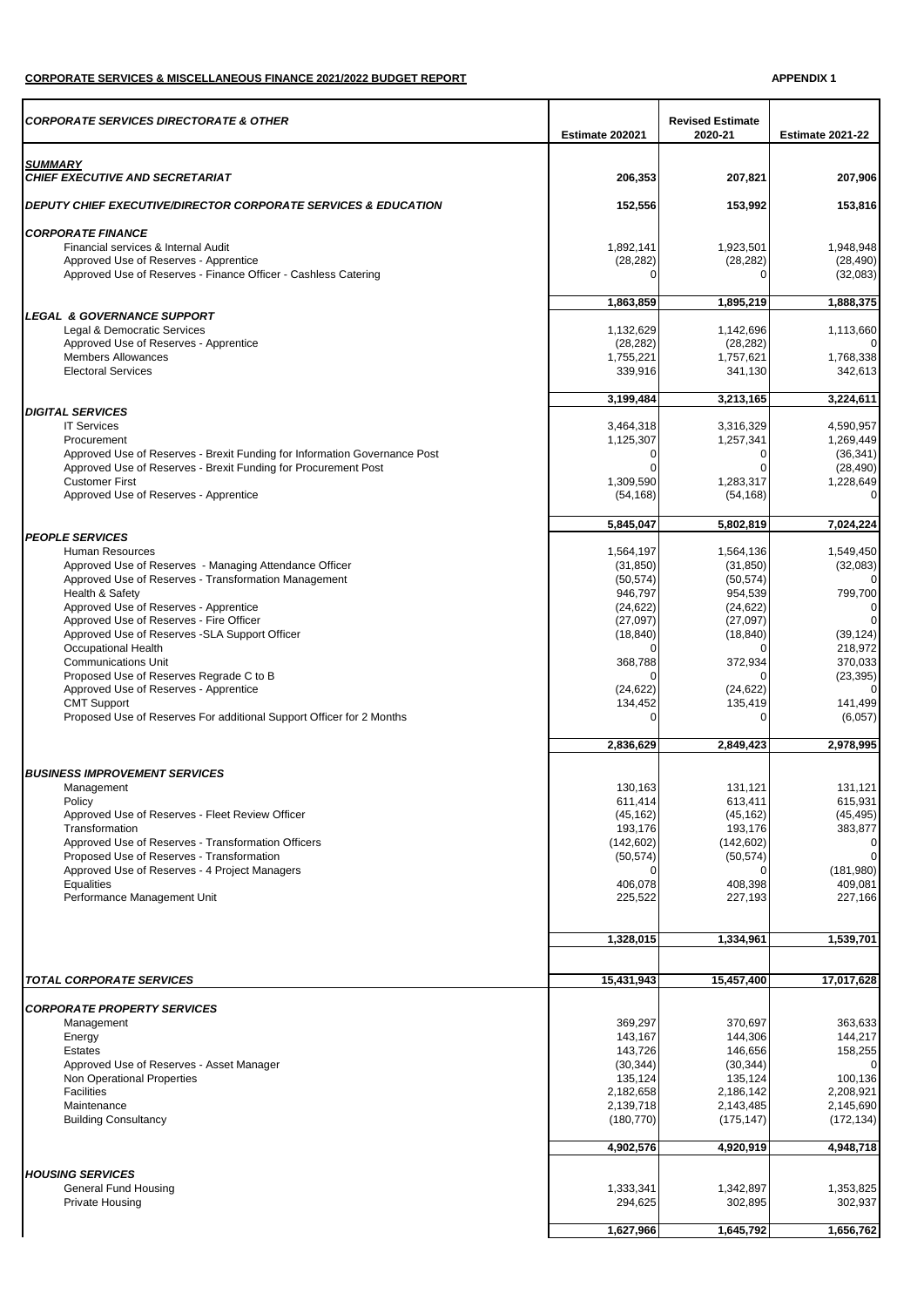## **CORPORATE SERVICES & MISCELLANEOUS FINANCE 2021/2022 BUDGET REPORT APPENDIX 1**

| 2020-21<br>Estimate 202021<br><b>Estimate 2021-22</b><br><b>SUMMARY</b><br><b>CHIEF EXECUTIVE AND SECRETARIAT</b><br>206,353<br>207,821<br>207,906<br><b>DEPUTY CHIEF EXECUTIVE/DIRECTOR CORPORATE SERVICES &amp; EDUCATION</b><br>152,556<br>153,992<br>153,816<br><b>CORPORATE FINANCE</b><br>1,892,141<br>1,948,948<br>Financial services & Internal Audit<br>1,923,501<br>Approved Use of Reserves - Apprentice<br>(28, 282)<br>(28, 282)<br>(28, 490)<br>Approved Use of Reserves - Finance Officer - Cashless Catering<br>(32,083)<br>0<br>∩<br>1,895,219<br>1.863.859<br>1,888,375<br><b>LEGAL &amp; GOVERNANCE SUPPORT</b><br>Legal & Democratic Services<br>1,132,629<br>1,142,696<br>1,113,660<br>Approved Use of Reserves - Apprentice<br>(28, 282)<br>(28, 282)<br><b>Members Allowances</b><br>1,768,338<br>1,755,221<br>1,757,621<br><b>Electoral Services</b><br>339,916<br>341,130<br>342,613<br>3,213,165<br>3,199,484<br>3,224,611<br><b>DIGITAL SERVICES</b><br><b>IT Services</b><br>4.590.957<br>3,464,318<br>3.316.329<br>1,257,341<br>1,269,449<br>Procurement<br>1,125,307<br>Approved Use of Reserves - Brexit Funding for Information Governance Post<br>0<br>(36, 341)<br>0<br>Approved Use of Reserves - Brexit Funding for Procurement Post<br>$\Omega$<br>(28, 490)<br>$\Omega$<br><b>Customer First</b><br>1.309.590<br>1,283,317<br>1,228,649<br>Approved Use of Reserves - Apprentice<br>(54, 168)<br>$\Omega$<br>(54, 168)<br>5,845,047<br>5,802,819<br>7,024,224<br><b>PEOPLE SERVICES</b><br>Human Resources<br>1,564,197<br>1,564,136<br>1,549,450<br>Approved Use of Reserves - Managing Attendance Officer<br>(31, 850)<br>(31, 850)<br>(32,083)<br>Approved Use of Reserves - Transformation Management<br>(50, 574)<br>(50, 574)<br>Health & Safety<br>946,797<br>954,539<br>799,700<br>Approved Use of Reserves - Apprentice<br>(24, 622)<br>(24, 622)<br>Approved Use of Reserves - Fire Officer<br>(27,097)<br>(27,097)<br>Approved Use of Reserves -SLA Support Officer<br>(18, 840)<br>(18, 840)<br>(39, 124)<br>Occupational Health<br>218,972<br>$\Omega$<br><b>Communications Unit</b><br>368,788<br>372,934<br>370,033<br>Proposed Use of Reserves Regrade C to B<br>(23, 395)<br>$\Omega$<br>Approved Use of Reserves - Apprentice<br>(24, 622)<br>(24, 622)<br><b>CMT Support</b><br>134,452<br>135,419<br>141,499<br>Proposed Use of Reserves For additional Support Officer for 2 Months<br>$\Omega$<br>$\Omega$<br>(6,057)<br>2,836,629<br>2,849,423<br>2,978,995<br><b>BUSINESS IMPROVEMENT SERVICES</b><br>130,163<br>131.121<br>131,121<br>Management<br>Policy<br>611,414<br>613,411<br>615,931<br>Approved Use of Reserves - Fleet Review Officer<br>(45, 162)<br>(45, 162)<br>(45, 495)<br>Transformation<br>193,176<br>383,877<br>193,176<br>Approved Use of Reserves - Transformation Officers<br>(142, 602)<br>(142, 602)<br>Proposed Use of Reserves - Transformation<br>(50, 574)<br>(50, 574)<br>(181,980)<br>Approved Use of Reserves - 4 Project Managers<br>$\Omega$<br>Equalities<br>409,081<br>406,078<br>408,398<br>Performance Management Unit<br>225,522<br>227,193<br>227,166<br>1,539,701<br>1,328,015<br>1,334,961<br><b>TOTAL CORPORATE SERVICES</b><br>15,431,943<br>15,457,400<br>17,017,628<br><b>CORPORATE PROPERTY SERVICES</b><br>369,297<br>370,697<br>363,633<br>Management<br>143,167<br>144,306<br>144,217<br>Energy<br><b>Estates</b><br>143,726<br>146,656<br>158,255<br>Approved Use of Reserves - Asset Manager<br>(30, 344)<br>(30, 344)<br>$\Omega$<br>Non Operational Properties<br>135,124<br>100,136<br>135,124<br><b>Facilities</b><br>2,208,921<br>2,182,658<br>2,186,142<br>2,139,718<br>2,145,690<br>Maintenance<br>2,143,485<br><b>Building Consultancy</b><br>(180, 770)<br>(175, 147)<br>(172, 134)<br>4,902,576<br>4,920,919<br>4,948,718<br><b>HOUSING SERVICES</b><br>General Fund Housing<br>1,333,341<br>1,342,897<br>1,353,825<br>302,937<br><b>Private Housing</b><br>294,625<br>302,895<br>1,627,966<br>1,645,792<br>1,656,762 | <b>CORPORATE SERVICES DIRECTORATE &amp; OTHER</b> | <b>Revised Estimate</b> |  |
|-------------------------------------------------------------------------------------------------------------------------------------------------------------------------------------------------------------------------------------------------------------------------------------------------------------------------------------------------------------------------------------------------------------------------------------------------------------------------------------------------------------------------------------------------------------------------------------------------------------------------------------------------------------------------------------------------------------------------------------------------------------------------------------------------------------------------------------------------------------------------------------------------------------------------------------------------------------------------------------------------------------------------------------------------------------------------------------------------------------------------------------------------------------------------------------------------------------------------------------------------------------------------------------------------------------------------------------------------------------------------------------------------------------------------------------------------------------------------------------------------------------------------------------------------------------------------------------------------------------------------------------------------------------------------------------------------------------------------------------------------------------------------------------------------------------------------------------------------------------------------------------------------------------------------------------------------------------------------------------------------------------------------------------------------------------------------------------------------------------------------------------------------------------------------------------------------------------------------------------------------------------------------------------------------------------------------------------------------------------------------------------------------------------------------------------------------------------------------------------------------------------------------------------------------------------------------------------------------------------------------------------------------------------------------------------------------------------------------------------------------------------------------------------------------------------------------------------------------------------------------------------------------------------------------------------------------------------------------------------------------------------------------------------------------------------------------------------------------------------------------------------------------------------------------------------------------------------------------------------------------------------------------------------------------------------------------------------------------------------------------------------------------------------------------------------------------------------------------------------------------------------------------------------------------------------------------------------------------------------------------------------------------------------------------------------------------------------------------------------------------------------------------------------------------------------------------------------------------------------------------------------------------------------------------------------------------------------------------------------------------------------------------------------------------|---------------------------------------------------|-------------------------|--|
|                                                                                                                                                                                                                                                                                                                                                                                                                                                                                                                                                                                                                                                                                                                                                                                                                                                                                                                                                                                                                                                                                                                                                                                                                                                                                                                                                                                                                                                                                                                                                                                                                                                                                                                                                                                                                                                                                                                                                                                                                                                                                                                                                                                                                                                                                                                                                                                                                                                                                                                                                                                                                                                                                                                                                                                                                                                                                                                                                                                                                                                                                                                                                                                                                                                                                                                                                                                                                                                                                                                                                                                                                                                                                                                                                                                                                                                                                                                                                                                                                                                 |                                                   |                         |  |
|                                                                                                                                                                                                                                                                                                                                                                                                                                                                                                                                                                                                                                                                                                                                                                                                                                                                                                                                                                                                                                                                                                                                                                                                                                                                                                                                                                                                                                                                                                                                                                                                                                                                                                                                                                                                                                                                                                                                                                                                                                                                                                                                                                                                                                                                                                                                                                                                                                                                                                                                                                                                                                                                                                                                                                                                                                                                                                                                                                                                                                                                                                                                                                                                                                                                                                                                                                                                                                                                                                                                                                                                                                                                                                                                                                                                                                                                                                                                                                                                                                                 |                                                   |                         |  |
|                                                                                                                                                                                                                                                                                                                                                                                                                                                                                                                                                                                                                                                                                                                                                                                                                                                                                                                                                                                                                                                                                                                                                                                                                                                                                                                                                                                                                                                                                                                                                                                                                                                                                                                                                                                                                                                                                                                                                                                                                                                                                                                                                                                                                                                                                                                                                                                                                                                                                                                                                                                                                                                                                                                                                                                                                                                                                                                                                                                                                                                                                                                                                                                                                                                                                                                                                                                                                                                                                                                                                                                                                                                                                                                                                                                                                                                                                                                                                                                                                                                 |                                                   |                         |  |
|                                                                                                                                                                                                                                                                                                                                                                                                                                                                                                                                                                                                                                                                                                                                                                                                                                                                                                                                                                                                                                                                                                                                                                                                                                                                                                                                                                                                                                                                                                                                                                                                                                                                                                                                                                                                                                                                                                                                                                                                                                                                                                                                                                                                                                                                                                                                                                                                                                                                                                                                                                                                                                                                                                                                                                                                                                                                                                                                                                                                                                                                                                                                                                                                                                                                                                                                                                                                                                                                                                                                                                                                                                                                                                                                                                                                                                                                                                                                                                                                                                                 |                                                   |                         |  |
|                                                                                                                                                                                                                                                                                                                                                                                                                                                                                                                                                                                                                                                                                                                                                                                                                                                                                                                                                                                                                                                                                                                                                                                                                                                                                                                                                                                                                                                                                                                                                                                                                                                                                                                                                                                                                                                                                                                                                                                                                                                                                                                                                                                                                                                                                                                                                                                                                                                                                                                                                                                                                                                                                                                                                                                                                                                                                                                                                                                                                                                                                                                                                                                                                                                                                                                                                                                                                                                                                                                                                                                                                                                                                                                                                                                                                                                                                                                                                                                                                                                 |                                                   |                         |  |
|                                                                                                                                                                                                                                                                                                                                                                                                                                                                                                                                                                                                                                                                                                                                                                                                                                                                                                                                                                                                                                                                                                                                                                                                                                                                                                                                                                                                                                                                                                                                                                                                                                                                                                                                                                                                                                                                                                                                                                                                                                                                                                                                                                                                                                                                                                                                                                                                                                                                                                                                                                                                                                                                                                                                                                                                                                                                                                                                                                                                                                                                                                                                                                                                                                                                                                                                                                                                                                                                                                                                                                                                                                                                                                                                                                                                                                                                                                                                                                                                                                                 |                                                   |                         |  |
|                                                                                                                                                                                                                                                                                                                                                                                                                                                                                                                                                                                                                                                                                                                                                                                                                                                                                                                                                                                                                                                                                                                                                                                                                                                                                                                                                                                                                                                                                                                                                                                                                                                                                                                                                                                                                                                                                                                                                                                                                                                                                                                                                                                                                                                                                                                                                                                                                                                                                                                                                                                                                                                                                                                                                                                                                                                                                                                                                                                                                                                                                                                                                                                                                                                                                                                                                                                                                                                                                                                                                                                                                                                                                                                                                                                                                                                                                                                                                                                                                                                 |                                                   |                         |  |
|                                                                                                                                                                                                                                                                                                                                                                                                                                                                                                                                                                                                                                                                                                                                                                                                                                                                                                                                                                                                                                                                                                                                                                                                                                                                                                                                                                                                                                                                                                                                                                                                                                                                                                                                                                                                                                                                                                                                                                                                                                                                                                                                                                                                                                                                                                                                                                                                                                                                                                                                                                                                                                                                                                                                                                                                                                                                                                                                                                                                                                                                                                                                                                                                                                                                                                                                                                                                                                                                                                                                                                                                                                                                                                                                                                                                                                                                                                                                                                                                                                                 |                                                   |                         |  |
|                                                                                                                                                                                                                                                                                                                                                                                                                                                                                                                                                                                                                                                                                                                                                                                                                                                                                                                                                                                                                                                                                                                                                                                                                                                                                                                                                                                                                                                                                                                                                                                                                                                                                                                                                                                                                                                                                                                                                                                                                                                                                                                                                                                                                                                                                                                                                                                                                                                                                                                                                                                                                                                                                                                                                                                                                                                                                                                                                                                                                                                                                                                                                                                                                                                                                                                                                                                                                                                                                                                                                                                                                                                                                                                                                                                                                                                                                                                                                                                                                                                 |                                                   |                         |  |
|                                                                                                                                                                                                                                                                                                                                                                                                                                                                                                                                                                                                                                                                                                                                                                                                                                                                                                                                                                                                                                                                                                                                                                                                                                                                                                                                                                                                                                                                                                                                                                                                                                                                                                                                                                                                                                                                                                                                                                                                                                                                                                                                                                                                                                                                                                                                                                                                                                                                                                                                                                                                                                                                                                                                                                                                                                                                                                                                                                                                                                                                                                                                                                                                                                                                                                                                                                                                                                                                                                                                                                                                                                                                                                                                                                                                                                                                                                                                                                                                                                                 |                                                   |                         |  |
|                                                                                                                                                                                                                                                                                                                                                                                                                                                                                                                                                                                                                                                                                                                                                                                                                                                                                                                                                                                                                                                                                                                                                                                                                                                                                                                                                                                                                                                                                                                                                                                                                                                                                                                                                                                                                                                                                                                                                                                                                                                                                                                                                                                                                                                                                                                                                                                                                                                                                                                                                                                                                                                                                                                                                                                                                                                                                                                                                                                                                                                                                                                                                                                                                                                                                                                                                                                                                                                                                                                                                                                                                                                                                                                                                                                                                                                                                                                                                                                                                                                 |                                                   |                         |  |
|                                                                                                                                                                                                                                                                                                                                                                                                                                                                                                                                                                                                                                                                                                                                                                                                                                                                                                                                                                                                                                                                                                                                                                                                                                                                                                                                                                                                                                                                                                                                                                                                                                                                                                                                                                                                                                                                                                                                                                                                                                                                                                                                                                                                                                                                                                                                                                                                                                                                                                                                                                                                                                                                                                                                                                                                                                                                                                                                                                                                                                                                                                                                                                                                                                                                                                                                                                                                                                                                                                                                                                                                                                                                                                                                                                                                                                                                                                                                                                                                                                                 |                                                   |                         |  |
|                                                                                                                                                                                                                                                                                                                                                                                                                                                                                                                                                                                                                                                                                                                                                                                                                                                                                                                                                                                                                                                                                                                                                                                                                                                                                                                                                                                                                                                                                                                                                                                                                                                                                                                                                                                                                                                                                                                                                                                                                                                                                                                                                                                                                                                                                                                                                                                                                                                                                                                                                                                                                                                                                                                                                                                                                                                                                                                                                                                                                                                                                                                                                                                                                                                                                                                                                                                                                                                                                                                                                                                                                                                                                                                                                                                                                                                                                                                                                                                                                                                 |                                                   |                         |  |
|                                                                                                                                                                                                                                                                                                                                                                                                                                                                                                                                                                                                                                                                                                                                                                                                                                                                                                                                                                                                                                                                                                                                                                                                                                                                                                                                                                                                                                                                                                                                                                                                                                                                                                                                                                                                                                                                                                                                                                                                                                                                                                                                                                                                                                                                                                                                                                                                                                                                                                                                                                                                                                                                                                                                                                                                                                                                                                                                                                                                                                                                                                                                                                                                                                                                                                                                                                                                                                                                                                                                                                                                                                                                                                                                                                                                                                                                                                                                                                                                                                                 |                                                   |                         |  |
|                                                                                                                                                                                                                                                                                                                                                                                                                                                                                                                                                                                                                                                                                                                                                                                                                                                                                                                                                                                                                                                                                                                                                                                                                                                                                                                                                                                                                                                                                                                                                                                                                                                                                                                                                                                                                                                                                                                                                                                                                                                                                                                                                                                                                                                                                                                                                                                                                                                                                                                                                                                                                                                                                                                                                                                                                                                                                                                                                                                                                                                                                                                                                                                                                                                                                                                                                                                                                                                                                                                                                                                                                                                                                                                                                                                                                                                                                                                                                                                                                                                 |                                                   |                         |  |
|                                                                                                                                                                                                                                                                                                                                                                                                                                                                                                                                                                                                                                                                                                                                                                                                                                                                                                                                                                                                                                                                                                                                                                                                                                                                                                                                                                                                                                                                                                                                                                                                                                                                                                                                                                                                                                                                                                                                                                                                                                                                                                                                                                                                                                                                                                                                                                                                                                                                                                                                                                                                                                                                                                                                                                                                                                                                                                                                                                                                                                                                                                                                                                                                                                                                                                                                                                                                                                                                                                                                                                                                                                                                                                                                                                                                                                                                                                                                                                                                                                                 |                                                   |                         |  |
|                                                                                                                                                                                                                                                                                                                                                                                                                                                                                                                                                                                                                                                                                                                                                                                                                                                                                                                                                                                                                                                                                                                                                                                                                                                                                                                                                                                                                                                                                                                                                                                                                                                                                                                                                                                                                                                                                                                                                                                                                                                                                                                                                                                                                                                                                                                                                                                                                                                                                                                                                                                                                                                                                                                                                                                                                                                                                                                                                                                                                                                                                                                                                                                                                                                                                                                                                                                                                                                                                                                                                                                                                                                                                                                                                                                                                                                                                                                                                                                                                                                 |                                                   |                         |  |
|                                                                                                                                                                                                                                                                                                                                                                                                                                                                                                                                                                                                                                                                                                                                                                                                                                                                                                                                                                                                                                                                                                                                                                                                                                                                                                                                                                                                                                                                                                                                                                                                                                                                                                                                                                                                                                                                                                                                                                                                                                                                                                                                                                                                                                                                                                                                                                                                                                                                                                                                                                                                                                                                                                                                                                                                                                                                                                                                                                                                                                                                                                                                                                                                                                                                                                                                                                                                                                                                                                                                                                                                                                                                                                                                                                                                                                                                                                                                                                                                                                                 |                                                   |                         |  |
|                                                                                                                                                                                                                                                                                                                                                                                                                                                                                                                                                                                                                                                                                                                                                                                                                                                                                                                                                                                                                                                                                                                                                                                                                                                                                                                                                                                                                                                                                                                                                                                                                                                                                                                                                                                                                                                                                                                                                                                                                                                                                                                                                                                                                                                                                                                                                                                                                                                                                                                                                                                                                                                                                                                                                                                                                                                                                                                                                                                                                                                                                                                                                                                                                                                                                                                                                                                                                                                                                                                                                                                                                                                                                                                                                                                                                                                                                                                                                                                                                                                 |                                                   |                         |  |
|                                                                                                                                                                                                                                                                                                                                                                                                                                                                                                                                                                                                                                                                                                                                                                                                                                                                                                                                                                                                                                                                                                                                                                                                                                                                                                                                                                                                                                                                                                                                                                                                                                                                                                                                                                                                                                                                                                                                                                                                                                                                                                                                                                                                                                                                                                                                                                                                                                                                                                                                                                                                                                                                                                                                                                                                                                                                                                                                                                                                                                                                                                                                                                                                                                                                                                                                                                                                                                                                                                                                                                                                                                                                                                                                                                                                                                                                                                                                                                                                                                                 |                                                   |                         |  |
|                                                                                                                                                                                                                                                                                                                                                                                                                                                                                                                                                                                                                                                                                                                                                                                                                                                                                                                                                                                                                                                                                                                                                                                                                                                                                                                                                                                                                                                                                                                                                                                                                                                                                                                                                                                                                                                                                                                                                                                                                                                                                                                                                                                                                                                                                                                                                                                                                                                                                                                                                                                                                                                                                                                                                                                                                                                                                                                                                                                                                                                                                                                                                                                                                                                                                                                                                                                                                                                                                                                                                                                                                                                                                                                                                                                                                                                                                                                                                                                                                                                 |                                                   |                         |  |
|                                                                                                                                                                                                                                                                                                                                                                                                                                                                                                                                                                                                                                                                                                                                                                                                                                                                                                                                                                                                                                                                                                                                                                                                                                                                                                                                                                                                                                                                                                                                                                                                                                                                                                                                                                                                                                                                                                                                                                                                                                                                                                                                                                                                                                                                                                                                                                                                                                                                                                                                                                                                                                                                                                                                                                                                                                                                                                                                                                                                                                                                                                                                                                                                                                                                                                                                                                                                                                                                                                                                                                                                                                                                                                                                                                                                                                                                                                                                                                                                                                                 |                                                   |                         |  |
|                                                                                                                                                                                                                                                                                                                                                                                                                                                                                                                                                                                                                                                                                                                                                                                                                                                                                                                                                                                                                                                                                                                                                                                                                                                                                                                                                                                                                                                                                                                                                                                                                                                                                                                                                                                                                                                                                                                                                                                                                                                                                                                                                                                                                                                                                                                                                                                                                                                                                                                                                                                                                                                                                                                                                                                                                                                                                                                                                                                                                                                                                                                                                                                                                                                                                                                                                                                                                                                                                                                                                                                                                                                                                                                                                                                                                                                                                                                                                                                                                                                 |                                                   |                         |  |
|                                                                                                                                                                                                                                                                                                                                                                                                                                                                                                                                                                                                                                                                                                                                                                                                                                                                                                                                                                                                                                                                                                                                                                                                                                                                                                                                                                                                                                                                                                                                                                                                                                                                                                                                                                                                                                                                                                                                                                                                                                                                                                                                                                                                                                                                                                                                                                                                                                                                                                                                                                                                                                                                                                                                                                                                                                                                                                                                                                                                                                                                                                                                                                                                                                                                                                                                                                                                                                                                                                                                                                                                                                                                                                                                                                                                                                                                                                                                                                                                                                                 |                                                   |                         |  |
|                                                                                                                                                                                                                                                                                                                                                                                                                                                                                                                                                                                                                                                                                                                                                                                                                                                                                                                                                                                                                                                                                                                                                                                                                                                                                                                                                                                                                                                                                                                                                                                                                                                                                                                                                                                                                                                                                                                                                                                                                                                                                                                                                                                                                                                                                                                                                                                                                                                                                                                                                                                                                                                                                                                                                                                                                                                                                                                                                                                                                                                                                                                                                                                                                                                                                                                                                                                                                                                                                                                                                                                                                                                                                                                                                                                                                                                                                                                                                                                                                                                 |                                                   |                         |  |
|                                                                                                                                                                                                                                                                                                                                                                                                                                                                                                                                                                                                                                                                                                                                                                                                                                                                                                                                                                                                                                                                                                                                                                                                                                                                                                                                                                                                                                                                                                                                                                                                                                                                                                                                                                                                                                                                                                                                                                                                                                                                                                                                                                                                                                                                                                                                                                                                                                                                                                                                                                                                                                                                                                                                                                                                                                                                                                                                                                                                                                                                                                                                                                                                                                                                                                                                                                                                                                                                                                                                                                                                                                                                                                                                                                                                                                                                                                                                                                                                                                                 |                                                   |                         |  |
|                                                                                                                                                                                                                                                                                                                                                                                                                                                                                                                                                                                                                                                                                                                                                                                                                                                                                                                                                                                                                                                                                                                                                                                                                                                                                                                                                                                                                                                                                                                                                                                                                                                                                                                                                                                                                                                                                                                                                                                                                                                                                                                                                                                                                                                                                                                                                                                                                                                                                                                                                                                                                                                                                                                                                                                                                                                                                                                                                                                                                                                                                                                                                                                                                                                                                                                                                                                                                                                                                                                                                                                                                                                                                                                                                                                                                                                                                                                                                                                                                                                 |                                                   |                         |  |
|                                                                                                                                                                                                                                                                                                                                                                                                                                                                                                                                                                                                                                                                                                                                                                                                                                                                                                                                                                                                                                                                                                                                                                                                                                                                                                                                                                                                                                                                                                                                                                                                                                                                                                                                                                                                                                                                                                                                                                                                                                                                                                                                                                                                                                                                                                                                                                                                                                                                                                                                                                                                                                                                                                                                                                                                                                                                                                                                                                                                                                                                                                                                                                                                                                                                                                                                                                                                                                                                                                                                                                                                                                                                                                                                                                                                                                                                                                                                                                                                                                                 |                                                   |                         |  |
|                                                                                                                                                                                                                                                                                                                                                                                                                                                                                                                                                                                                                                                                                                                                                                                                                                                                                                                                                                                                                                                                                                                                                                                                                                                                                                                                                                                                                                                                                                                                                                                                                                                                                                                                                                                                                                                                                                                                                                                                                                                                                                                                                                                                                                                                                                                                                                                                                                                                                                                                                                                                                                                                                                                                                                                                                                                                                                                                                                                                                                                                                                                                                                                                                                                                                                                                                                                                                                                                                                                                                                                                                                                                                                                                                                                                                                                                                                                                                                                                                                                 |                                                   |                         |  |
|                                                                                                                                                                                                                                                                                                                                                                                                                                                                                                                                                                                                                                                                                                                                                                                                                                                                                                                                                                                                                                                                                                                                                                                                                                                                                                                                                                                                                                                                                                                                                                                                                                                                                                                                                                                                                                                                                                                                                                                                                                                                                                                                                                                                                                                                                                                                                                                                                                                                                                                                                                                                                                                                                                                                                                                                                                                                                                                                                                                                                                                                                                                                                                                                                                                                                                                                                                                                                                                                                                                                                                                                                                                                                                                                                                                                                                                                                                                                                                                                                                                 |                                                   |                         |  |
|                                                                                                                                                                                                                                                                                                                                                                                                                                                                                                                                                                                                                                                                                                                                                                                                                                                                                                                                                                                                                                                                                                                                                                                                                                                                                                                                                                                                                                                                                                                                                                                                                                                                                                                                                                                                                                                                                                                                                                                                                                                                                                                                                                                                                                                                                                                                                                                                                                                                                                                                                                                                                                                                                                                                                                                                                                                                                                                                                                                                                                                                                                                                                                                                                                                                                                                                                                                                                                                                                                                                                                                                                                                                                                                                                                                                                                                                                                                                                                                                                                                 |                                                   |                         |  |
|                                                                                                                                                                                                                                                                                                                                                                                                                                                                                                                                                                                                                                                                                                                                                                                                                                                                                                                                                                                                                                                                                                                                                                                                                                                                                                                                                                                                                                                                                                                                                                                                                                                                                                                                                                                                                                                                                                                                                                                                                                                                                                                                                                                                                                                                                                                                                                                                                                                                                                                                                                                                                                                                                                                                                                                                                                                                                                                                                                                                                                                                                                                                                                                                                                                                                                                                                                                                                                                                                                                                                                                                                                                                                                                                                                                                                                                                                                                                                                                                                                                 |                                                   |                         |  |
|                                                                                                                                                                                                                                                                                                                                                                                                                                                                                                                                                                                                                                                                                                                                                                                                                                                                                                                                                                                                                                                                                                                                                                                                                                                                                                                                                                                                                                                                                                                                                                                                                                                                                                                                                                                                                                                                                                                                                                                                                                                                                                                                                                                                                                                                                                                                                                                                                                                                                                                                                                                                                                                                                                                                                                                                                                                                                                                                                                                                                                                                                                                                                                                                                                                                                                                                                                                                                                                                                                                                                                                                                                                                                                                                                                                                                                                                                                                                                                                                                                                 |                                                   |                         |  |
|                                                                                                                                                                                                                                                                                                                                                                                                                                                                                                                                                                                                                                                                                                                                                                                                                                                                                                                                                                                                                                                                                                                                                                                                                                                                                                                                                                                                                                                                                                                                                                                                                                                                                                                                                                                                                                                                                                                                                                                                                                                                                                                                                                                                                                                                                                                                                                                                                                                                                                                                                                                                                                                                                                                                                                                                                                                                                                                                                                                                                                                                                                                                                                                                                                                                                                                                                                                                                                                                                                                                                                                                                                                                                                                                                                                                                                                                                                                                                                                                                                                 |                                                   |                         |  |
|                                                                                                                                                                                                                                                                                                                                                                                                                                                                                                                                                                                                                                                                                                                                                                                                                                                                                                                                                                                                                                                                                                                                                                                                                                                                                                                                                                                                                                                                                                                                                                                                                                                                                                                                                                                                                                                                                                                                                                                                                                                                                                                                                                                                                                                                                                                                                                                                                                                                                                                                                                                                                                                                                                                                                                                                                                                                                                                                                                                                                                                                                                                                                                                                                                                                                                                                                                                                                                                                                                                                                                                                                                                                                                                                                                                                                                                                                                                                                                                                                                                 |                                                   |                         |  |
|                                                                                                                                                                                                                                                                                                                                                                                                                                                                                                                                                                                                                                                                                                                                                                                                                                                                                                                                                                                                                                                                                                                                                                                                                                                                                                                                                                                                                                                                                                                                                                                                                                                                                                                                                                                                                                                                                                                                                                                                                                                                                                                                                                                                                                                                                                                                                                                                                                                                                                                                                                                                                                                                                                                                                                                                                                                                                                                                                                                                                                                                                                                                                                                                                                                                                                                                                                                                                                                                                                                                                                                                                                                                                                                                                                                                                                                                                                                                                                                                                                                 |                                                   |                         |  |
|                                                                                                                                                                                                                                                                                                                                                                                                                                                                                                                                                                                                                                                                                                                                                                                                                                                                                                                                                                                                                                                                                                                                                                                                                                                                                                                                                                                                                                                                                                                                                                                                                                                                                                                                                                                                                                                                                                                                                                                                                                                                                                                                                                                                                                                                                                                                                                                                                                                                                                                                                                                                                                                                                                                                                                                                                                                                                                                                                                                                                                                                                                                                                                                                                                                                                                                                                                                                                                                                                                                                                                                                                                                                                                                                                                                                                                                                                                                                                                                                                                                 |                                                   |                         |  |
|                                                                                                                                                                                                                                                                                                                                                                                                                                                                                                                                                                                                                                                                                                                                                                                                                                                                                                                                                                                                                                                                                                                                                                                                                                                                                                                                                                                                                                                                                                                                                                                                                                                                                                                                                                                                                                                                                                                                                                                                                                                                                                                                                                                                                                                                                                                                                                                                                                                                                                                                                                                                                                                                                                                                                                                                                                                                                                                                                                                                                                                                                                                                                                                                                                                                                                                                                                                                                                                                                                                                                                                                                                                                                                                                                                                                                                                                                                                                                                                                                                                 |                                                   |                         |  |
|                                                                                                                                                                                                                                                                                                                                                                                                                                                                                                                                                                                                                                                                                                                                                                                                                                                                                                                                                                                                                                                                                                                                                                                                                                                                                                                                                                                                                                                                                                                                                                                                                                                                                                                                                                                                                                                                                                                                                                                                                                                                                                                                                                                                                                                                                                                                                                                                                                                                                                                                                                                                                                                                                                                                                                                                                                                                                                                                                                                                                                                                                                                                                                                                                                                                                                                                                                                                                                                                                                                                                                                                                                                                                                                                                                                                                                                                                                                                                                                                                                                 |                                                   |                         |  |
|                                                                                                                                                                                                                                                                                                                                                                                                                                                                                                                                                                                                                                                                                                                                                                                                                                                                                                                                                                                                                                                                                                                                                                                                                                                                                                                                                                                                                                                                                                                                                                                                                                                                                                                                                                                                                                                                                                                                                                                                                                                                                                                                                                                                                                                                                                                                                                                                                                                                                                                                                                                                                                                                                                                                                                                                                                                                                                                                                                                                                                                                                                                                                                                                                                                                                                                                                                                                                                                                                                                                                                                                                                                                                                                                                                                                                                                                                                                                                                                                                                                 |                                                   |                         |  |
|                                                                                                                                                                                                                                                                                                                                                                                                                                                                                                                                                                                                                                                                                                                                                                                                                                                                                                                                                                                                                                                                                                                                                                                                                                                                                                                                                                                                                                                                                                                                                                                                                                                                                                                                                                                                                                                                                                                                                                                                                                                                                                                                                                                                                                                                                                                                                                                                                                                                                                                                                                                                                                                                                                                                                                                                                                                                                                                                                                                                                                                                                                                                                                                                                                                                                                                                                                                                                                                                                                                                                                                                                                                                                                                                                                                                                                                                                                                                                                                                                                                 |                                                   |                         |  |
|                                                                                                                                                                                                                                                                                                                                                                                                                                                                                                                                                                                                                                                                                                                                                                                                                                                                                                                                                                                                                                                                                                                                                                                                                                                                                                                                                                                                                                                                                                                                                                                                                                                                                                                                                                                                                                                                                                                                                                                                                                                                                                                                                                                                                                                                                                                                                                                                                                                                                                                                                                                                                                                                                                                                                                                                                                                                                                                                                                                                                                                                                                                                                                                                                                                                                                                                                                                                                                                                                                                                                                                                                                                                                                                                                                                                                                                                                                                                                                                                                                                 |                                                   |                         |  |
|                                                                                                                                                                                                                                                                                                                                                                                                                                                                                                                                                                                                                                                                                                                                                                                                                                                                                                                                                                                                                                                                                                                                                                                                                                                                                                                                                                                                                                                                                                                                                                                                                                                                                                                                                                                                                                                                                                                                                                                                                                                                                                                                                                                                                                                                                                                                                                                                                                                                                                                                                                                                                                                                                                                                                                                                                                                                                                                                                                                                                                                                                                                                                                                                                                                                                                                                                                                                                                                                                                                                                                                                                                                                                                                                                                                                                                                                                                                                                                                                                                                 |                                                   |                         |  |
|                                                                                                                                                                                                                                                                                                                                                                                                                                                                                                                                                                                                                                                                                                                                                                                                                                                                                                                                                                                                                                                                                                                                                                                                                                                                                                                                                                                                                                                                                                                                                                                                                                                                                                                                                                                                                                                                                                                                                                                                                                                                                                                                                                                                                                                                                                                                                                                                                                                                                                                                                                                                                                                                                                                                                                                                                                                                                                                                                                                                                                                                                                                                                                                                                                                                                                                                                                                                                                                                                                                                                                                                                                                                                                                                                                                                                                                                                                                                                                                                                                                 |                                                   |                         |  |
|                                                                                                                                                                                                                                                                                                                                                                                                                                                                                                                                                                                                                                                                                                                                                                                                                                                                                                                                                                                                                                                                                                                                                                                                                                                                                                                                                                                                                                                                                                                                                                                                                                                                                                                                                                                                                                                                                                                                                                                                                                                                                                                                                                                                                                                                                                                                                                                                                                                                                                                                                                                                                                                                                                                                                                                                                                                                                                                                                                                                                                                                                                                                                                                                                                                                                                                                                                                                                                                                                                                                                                                                                                                                                                                                                                                                                                                                                                                                                                                                                                                 |                                                   |                         |  |
|                                                                                                                                                                                                                                                                                                                                                                                                                                                                                                                                                                                                                                                                                                                                                                                                                                                                                                                                                                                                                                                                                                                                                                                                                                                                                                                                                                                                                                                                                                                                                                                                                                                                                                                                                                                                                                                                                                                                                                                                                                                                                                                                                                                                                                                                                                                                                                                                                                                                                                                                                                                                                                                                                                                                                                                                                                                                                                                                                                                                                                                                                                                                                                                                                                                                                                                                                                                                                                                                                                                                                                                                                                                                                                                                                                                                                                                                                                                                                                                                                                                 |                                                   |                         |  |
|                                                                                                                                                                                                                                                                                                                                                                                                                                                                                                                                                                                                                                                                                                                                                                                                                                                                                                                                                                                                                                                                                                                                                                                                                                                                                                                                                                                                                                                                                                                                                                                                                                                                                                                                                                                                                                                                                                                                                                                                                                                                                                                                                                                                                                                                                                                                                                                                                                                                                                                                                                                                                                                                                                                                                                                                                                                                                                                                                                                                                                                                                                                                                                                                                                                                                                                                                                                                                                                                                                                                                                                                                                                                                                                                                                                                                                                                                                                                                                                                                                                 |                                                   |                         |  |
|                                                                                                                                                                                                                                                                                                                                                                                                                                                                                                                                                                                                                                                                                                                                                                                                                                                                                                                                                                                                                                                                                                                                                                                                                                                                                                                                                                                                                                                                                                                                                                                                                                                                                                                                                                                                                                                                                                                                                                                                                                                                                                                                                                                                                                                                                                                                                                                                                                                                                                                                                                                                                                                                                                                                                                                                                                                                                                                                                                                                                                                                                                                                                                                                                                                                                                                                                                                                                                                                                                                                                                                                                                                                                                                                                                                                                                                                                                                                                                                                                                                 |                                                   |                         |  |
|                                                                                                                                                                                                                                                                                                                                                                                                                                                                                                                                                                                                                                                                                                                                                                                                                                                                                                                                                                                                                                                                                                                                                                                                                                                                                                                                                                                                                                                                                                                                                                                                                                                                                                                                                                                                                                                                                                                                                                                                                                                                                                                                                                                                                                                                                                                                                                                                                                                                                                                                                                                                                                                                                                                                                                                                                                                                                                                                                                                                                                                                                                                                                                                                                                                                                                                                                                                                                                                                                                                                                                                                                                                                                                                                                                                                                                                                                                                                                                                                                                                 |                                                   |                         |  |
|                                                                                                                                                                                                                                                                                                                                                                                                                                                                                                                                                                                                                                                                                                                                                                                                                                                                                                                                                                                                                                                                                                                                                                                                                                                                                                                                                                                                                                                                                                                                                                                                                                                                                                                                                                                                                                                                                                                                                                                                                                                                                                                                                                                                                                                                                                                                                                                                                                                                                                                                                                                                                                                                                                                                                                                                                                                                                                                                                                                                                                                                                                                                                                                                                                                                                                                                                                                                                                                                                                                                                                                                                                                                                                                                                                                                                                                                                                                                                                                                                                                 |                                                   |                         |  |
|                                                                                                                                                                                                                                                                                                                                                                                                                                                                                                                                                                                                                                                                                                                                                                                                                                                                                                                                                                                                                                                                                                                                                                                                                                                                                                                                                                                                                                                                                                                                                                                                                                                                                                                                                                                                                                                                                                                                                                                                                                                                                                                                                                                                                                                                                                                                                                                                                                                                                                                                                                                                                                                                                                                                                                                                                                                                                                                                                                                                                                                                                                                                                                                                                                                                                                                                                                                                                                                                                                                                                                                                                                                                                                                                                                                                                                                                                                                                                                                                                                                 |                                                   |                         |  |
|                                                                                                                                                                                                                                                                                                                                                                                                                                                                                                                                                                                                                                                                                                                                                                                                                                                                                                                                                                                                                                                                                                                                                                                                                                                                                                                                                                                                                                                                                                                                                                                                                                                                                                                                                                                                                                                                                                                                                                                                                                                                                                                                                                                                                                                                                                                                                                                                                                                                                                                                                                                                                                                                                                                                                                                                                                                                                                                                                                                                                                                                                                                                                                                                                                                                                                                                                                                                                                                                                                                                                                                                                                                                                                                                                                                                                                                                                                                                                                                                                                                 |                                                   |                         |  |
|                                                                                                                                                                                                                                                                                                                                                                                                                                                                                                                                                                                                                                                                                                                                                                                                                                                                                                                                                                                                                                                                                                                                                                                                                                                                                                                                                                                                                                                                                                                                                                                                                                                                                                                                                                                                                                                                                                                                                                                                                                                                                                                                                                                                                                                                                                                                                                                                                                                                                                                                                                                                                                                                                                                                                                                                                                                                                                                                                                                                                                                                                                                                                                                                                                                                                                                                                                                                                                                                                                                                                                                                                                                                                                                                                                                                                                                                                                                                                                                                                                                 |                                                   |                         |  |
|                                                                                                                                                                                                                                                                                                                                                                                                                                                                                                                                                                                                                                                                                                                                                                                                                                                                                                                                                                                                                                                                                                                                                                                                                                                                                                                                                                                                                                                                                                                                                                                                                                                                                                                                                                                                                                                                                                                                                                                                                                                                                                                                                                                                                                                                                                                                                                                                                                                                                                                                                                                                                                                                                                                                                                                                                                                                                                                                                                                                                                                                                                                                                                                                                                                                                                                                                                                                                                                                                                                                                                                                                                                                                                                                                                                                                                                                                                                                                                                                                                                 |                                                   |                         |  |
|                                                                                                                                                                                                                                                                                                                                                                                                                                                                                                                                                                                                                                                                                                                                                                                                                                                                                                                                                                                                                                                                                                                                                                                                                                                                                                                                                                                                                                                                                                                                                                                                                                                                                                                                                                                                                                                                                                                                                                                                                                                                                                                                                                                                                                                                                                                                                                                                                                                                                                                                                                                                                                                                                                                                                                                                                                                                                                                                                                                                                                                                                                                                                                                                                                                                                                                                                                                                                                                                                                                                                                                                                                                                                                                                                                                                                                                                                                                                                                                                                                                 |                                                   |                         |  |
|                                                                                                                                                                                                                                                                                                                                                                                                                                                                                                                                                                                                                                                                                                                                                                                                                                                                                                                                                                                                                                                                                                                                                                                                                                                                                                                                                                                                                                                                                                                                                                                                                                                                                                                                                                                                                                                                                                                                                                                                                                                                                                                                                                                                                                                                                                                                                                                                                                                                                                                                                                                                                                                                                                                                                                                                                                                                                                                                                                                                                                                                                                                                                                                                                                                                                                                                                                                                                                                                                                                                                                                                                                                                                                                                                                                                                                                                                                                                                                                                                                                 |                                                   |                         |  |
|                                                                                                                                                                                                                                                                                                                                                                                                                                                                                                                                                                                                                                                                                                                                                                                                                                                                                                                                                                                                                                                                                                                                                                                                                                                                                                                                                                                                                                                                                                                                                                                                                                                                                                                                                                                                                                                                                                                                                                                                                                                                                                                                                                                                                                                                                                                                                                                                                                                                                                                                                                                                                                                                                                                                                                                                                                                                                                                                                                                                                                                                                                                                                                                                                                                                                                                                                                                                                                                                                                                                                                                                                                                                                                                                                                                                                                                                                                                                                                                                                                                 |                                                   |                         |  |
|                                                                                                                                                                                                                                                                                                                                                                                                                                                                                                                                                                                                                                                                                                                                                                                                                                                                                                                                                                                                                                                                                                                                                                                                                                                                                                                                                                                                                                                                                                                                                                                                                                                                                                                                                                                                                                                                                                                                                                                                                                                                                                                                                                                                                                                                                                                                                                                                                                                                                                                                                                                                                                                                                                                                                                                                                                                                                                                                                                                                                                                                                                                                                                                                                                                                                                                                                                                                                                                                                                                                                                                                                                                                                                                                                                                                                                                                                                                                                                                                                                                 |                                                   |                         |  |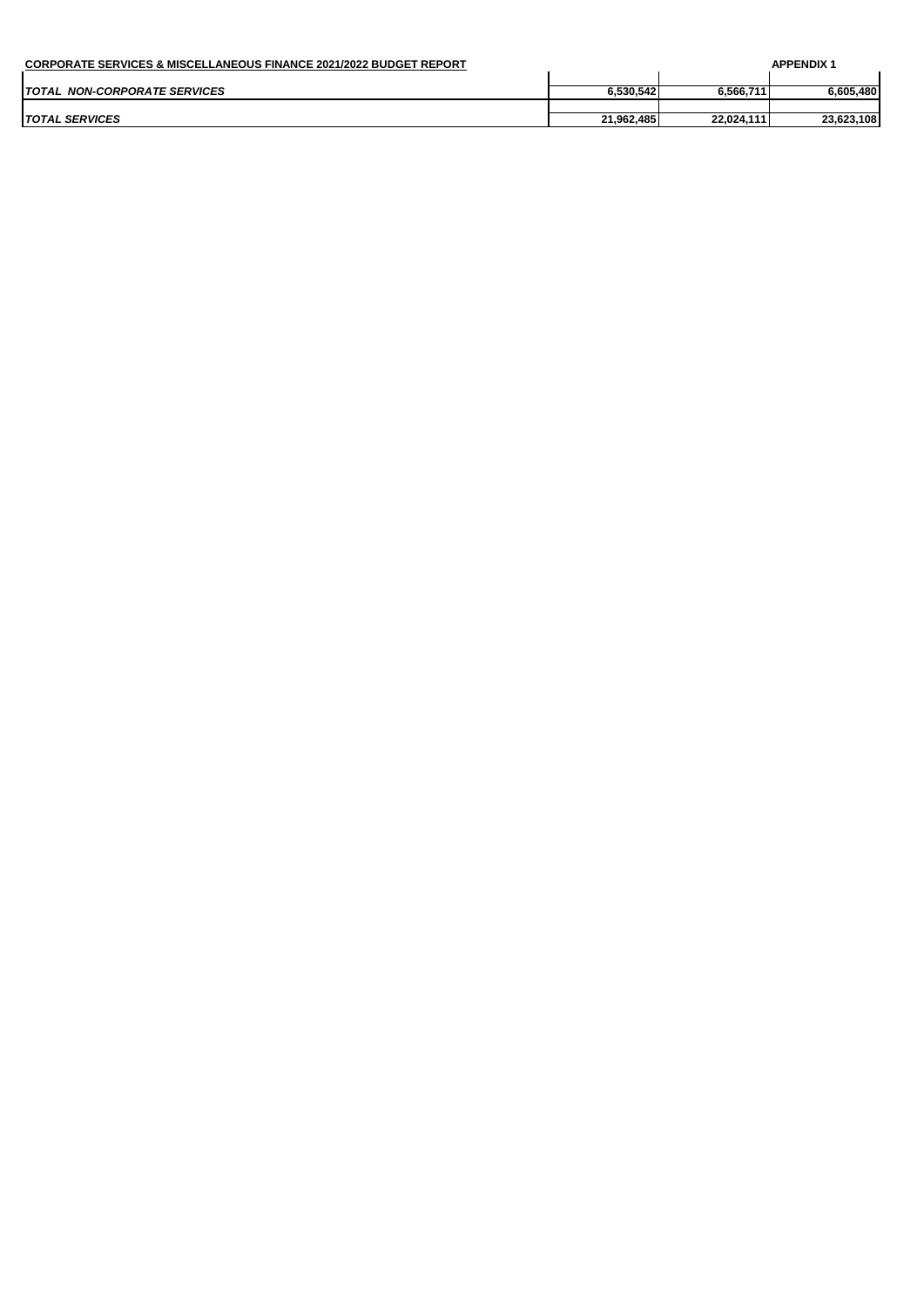| <b>CORPORATE SERVICES &amp; MISCELLANEOUS FINANCE 2021/2022 BUDGET REPORT</b> |            |            | <b>APPENDIX</b> |
|-------------------------------------------------------------------------------|------------|------------|-----------------|
|                                                                               |            |            |                 |
| TOTAL NON-CORPORATE SERVICES                                                  | 6.530.542  | 6.566.711  | 6.605.480       |
|                                                                               |            |            |                 |
| <i>TOTAL SERVICES</i>                                                         | 21.962.485 | 22.024.111 | 23,623,108      |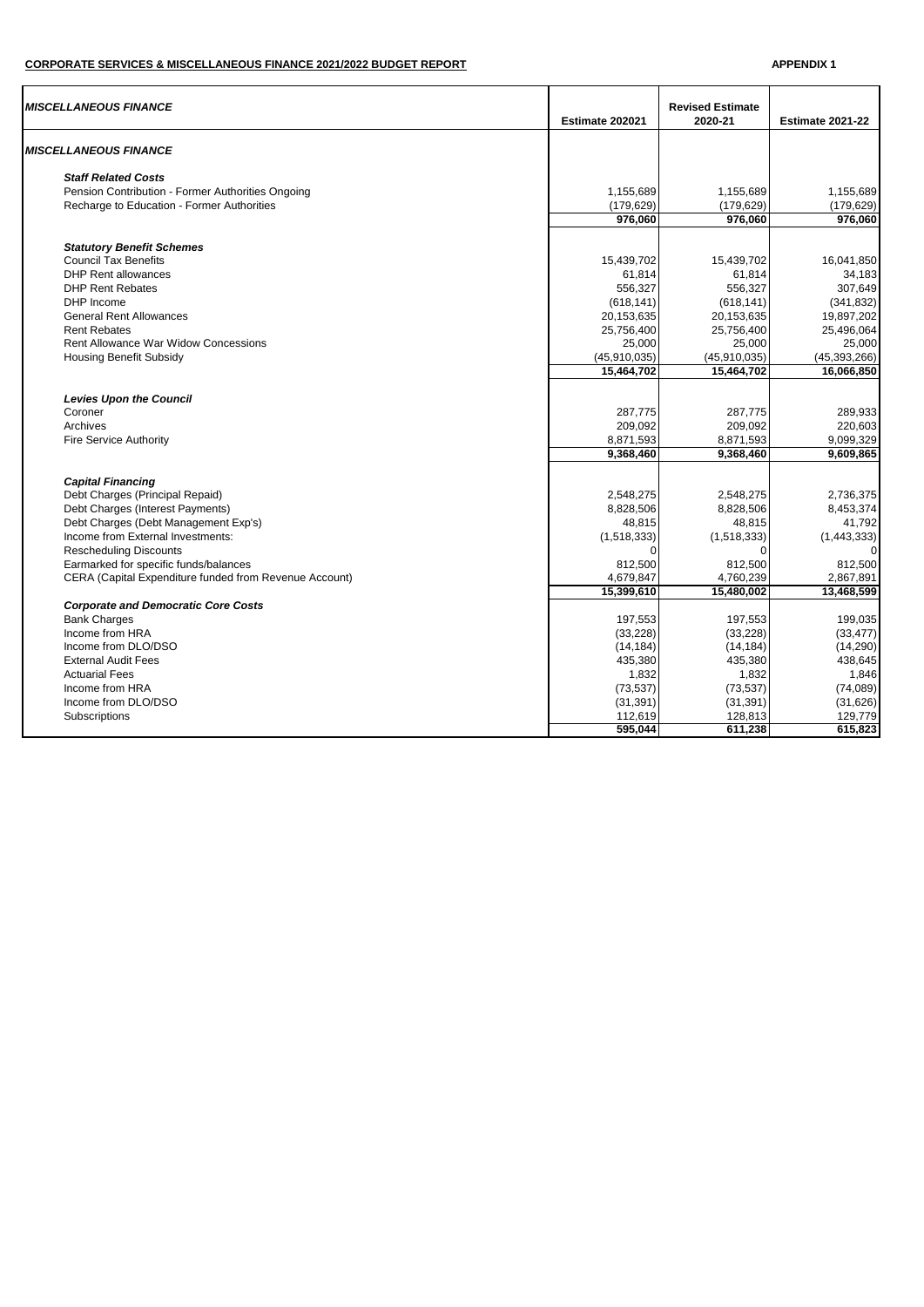## **CORPORATE SERVICES & MISCELLANEOUS FINANCE 2021/2022 BUDGET REPORT APPENDIX 1**

| <b>MISCELLANEOUS FINANCE</b>                           | Estimate 202021 | <b>Revised Estimate</b><br>2020-21 | <b>Estimate 2021-22</b> |
|--------------------------------------------------------|-----------------|------------------------------------|-------------------------|
| <b>MISCELLANEOUS FINANCE</b>                           |                 |                                    |                         |
| <b>Staff Related Costs</b>                             |                 |                                    |                         |
| Pension Contribution - Former Authorities Ongoing      | 1,155,689       | 1,155,689                          | 1,155,689               |
| Recharge to Education - Former Authorities             | (179, 629)      | (179, 629)                         | (179, 629)              |
|                                                        | 976,060         | 976,060                            | 976,060                 |
| <b>Statutory Benefit Schemes</b>                       |                 |                                    |                         |
| <b>Council Tax Benefits</b>                            | 15,439,702      | 15,439,702                         | 16,041,850              |
| <b>DHP Rent allowances</b>                             | 61,814          | 61,814                             | 34,183                  |
| <b>DHP Rent Rebates</b>                                | 556,327         | 556,327                            | 307,649                 |
| DHP Income                                             | (618, 141)      | (618, 141)                         | (341, 832)              |
| <b>General Rent Allowances</b>                         | 20,153,635      | 20,153,635                         | 19,897,202              |
| <b>Rent Rebates</b>                                    | 25,756,400      | 25,756,400                         | 25,496,064              |
| <b>Rent Allowance War Widow Concessions</b>            | 25,000          | 25,000                             | 25,000                  |
| <b>Housing Benefit Subsidy</b>                         | (45, 910, 035)  | (45, 910, 035)                     | (45, 393, 266)          |
|                                                        | 15,464,702      | 15,464,702                         | 16,066,850              |
|                                                        |                 |                                    |                         |
| <b>Levies Upon the Council</b>                         |                 |                                    |                         |
| Coroner                                                | 287,775         | 287,775                            | 289.933                 |
| Archives                                               | 209,092         | 209,092                            | 220,603                 |
| <b>Fire Service Authority</b>                          | 8,871,593       | 8,871,593                          | 9,099,329               |
|                                                        | 9,368,460       | 9,368,460                          | 9,609,865               |
| <b>Capital Financing</b>                               |                 |                                    |                         |
| Debt Charges (Principal Repaid)                        | 2,548,275       | 2,548,275                          | 2,736,375               |
| Debt Charges (Interest Payments)                       | 8,828,506       | 8,828,506                          | 8,453,374               |
| Debt Charges (Debt Management Exp's)                   | 48,815          | 48,815                             | 41,792                  |
| Income from External Investments:                      | (1,518,333)     | (1,518,333)                        | (1,443,333)             |
| <b>Rescheduling Discounts</b>                          | C               | $\Omega$                           |                         |
| Earmarked for specific funds/balances                  | 812,500         | 812,500                            | 812,500                 |
| CERA (Capital Expenditure funded from Revenue Account) | 4,679,847       | 4,760,239                          | 2,867,891               |
|                                                        | 15,399,610      | 15.480.002                         | 13,468,599              |
| <b>Corporate and Democratic Core Costs</b>             |                 |                                    |                         |
| <b>Bank Charges</b>                                    | 197,553         | 197,553                            | 199,035                 |
| Income from HRA                                        | (33, 228)       | (33, 228)                          | (33, 477)               |
| Income from DLO/DSO                                    | (14, 184)       | (14, 184)                          | (14, 290)               |
| <b>External Audit Fees</b>                             | 435,380         | 435,380                            | 438,645                 |
| <b>Actuarial Fees</b>                                  | 1,832           | 1,832                              | 1,846                   |
| Income from HRA                                        | (73, 537)       | (73, 537)                          | (74,089)                |
| Income from DLO/DSO                                    | (31, 391)       | (31, 391)                          | (31,626)                |
| Subscriptions                                          | 112,619         | 128,813                            | 129,779                 |
|                                                        | 595,044         | 611,238                            | 615,823                 |